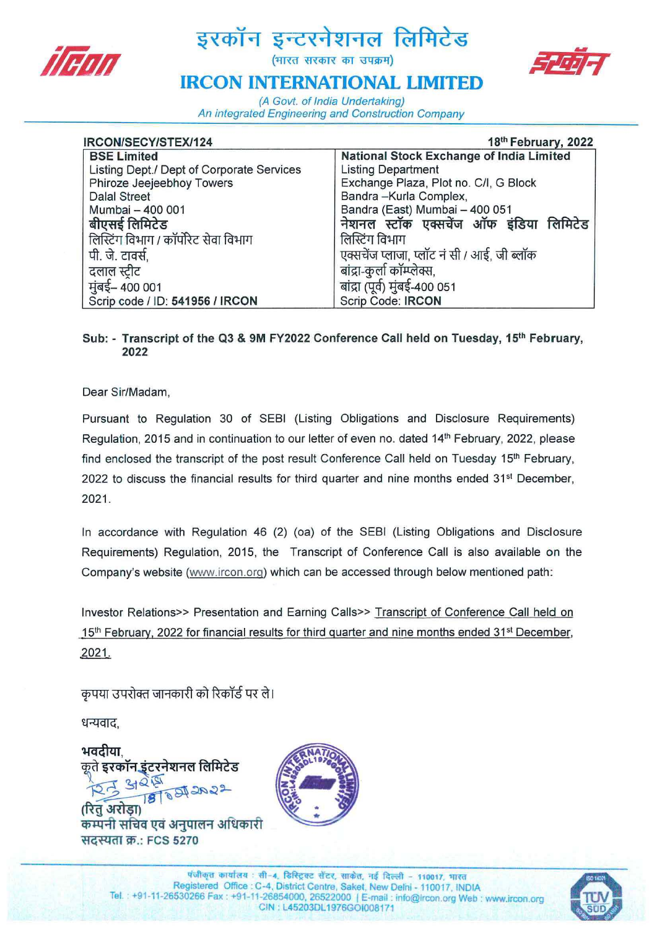

# द्धरकॉन इन्टरनेशनल लिमिटेड<br>बाल्ह सरकार का उपक्रम)



## **IRCON INTERNATIONAL LIMITED**

(A Govt. of India Undertaking) An integrated Engineering and Construction Company

| IRCON/SECY/STEX/124                       | 18th February, 2022                             |
|-------------------------------------------|-------------------------------------------------|
| <b>BSE Limited</b>                        | <b>National Stock Exchange of India Limited</b> |
| Listing Dept./ Dept of Corporate Services | <b>Listing Department</b>                       |
| Phiroze Jeejeebhoy Towers                 | Exchange Plaza, Plot no. C/I, G Block           |
| <b>Dalal Street</b>                       | Bandra-Kurla Complex,                           |
| Mumbai - 400 001                          | Bandra (East) Mumbai - 400 051                  |
| बीएसई लिमिटेड                             | नेशनल स्टॉक एक्सचेंज ऑफ इंडिया लिमिटेड          |
| लिस्टिंग विभाग / कॉर्पोरेट सेवा विभाग     | लिस्टिंग विभाग                                  |
| पी. जे. टावर्स.                           | एक्सचेंज प्लाजा, प्लॉट नं सी / आई, जी ब्लॉक     |
| दलाल स्टीट                                | बांद्रा-कुर्ला कॉम्प्लेक्स,                     |
| मुंबई– 400 001                            | बांद्रा (पूर्व) मुंबई-400 051                   |
| Scrip code / ID: 541956 / IRCON           | Scrip Code: IRCON                               |

#### Sub: - Transcript of the Q3 & 9M FY2022 Conference Call held on Tuesday, 15<sup>th</sup> February, 2022

Dear Sir/Madam,

Pursuant to Regulation 30 of SEBI (Listing Obligations and Disclosure Requirements) Regulation, 2015 and in continuation to our letter of even no. dated 14<sup>th</sup> February, 2022, please find enclosed the transcript of the post result Conference Call held on Tuesday 15<sup>th</sup> February, 2022 to discuss the financial results for third quarter and nine months ended  $31<sup>st</sup>$  December, 2021.

In accordance with Regulation 46 (2) (oa) of the SEBI (Listing Obligations and Disclosure Requirements) Regulation, 2015, the Transcript of Conference Call is also available on the Company's website (www.ircon.org) which can be accessed through below mentioned path:

Investor Relations» Presentation and Earning Calls» Transcript of Conference Call held on 15<sup>th</sup> February, 2022 for financial results for third quarter and nine months ended  $31<sup>st</sup>$  December, 2021.

कृपया उपरोक्त जानकारी को रिकॉर्ड पर ले।

धन्यवाद.

भवदीया कृते इरकॉन इंटरनेशनल लिमिटेड  $3025$ **ASTORIAS** (रित अरोडा) कम्पनी सचिव एवं अनुपालन अधिकारी सदस्यता क्र.: FCS 5270



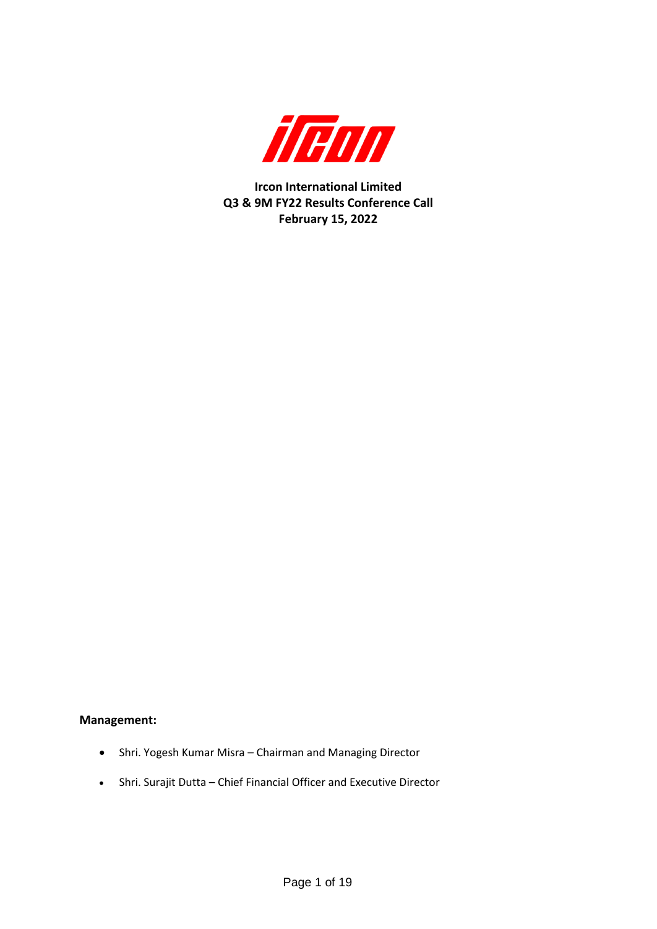

**Ircon International Limited Q3 & 9M FY22 Results Conference Call February 15, 2022**

#### **Management:**

- Shri. Yogesh Kumar Misra Chairman and Managing Director
- Shri. Surajit Dutta Chief Financial Officer and Executive Director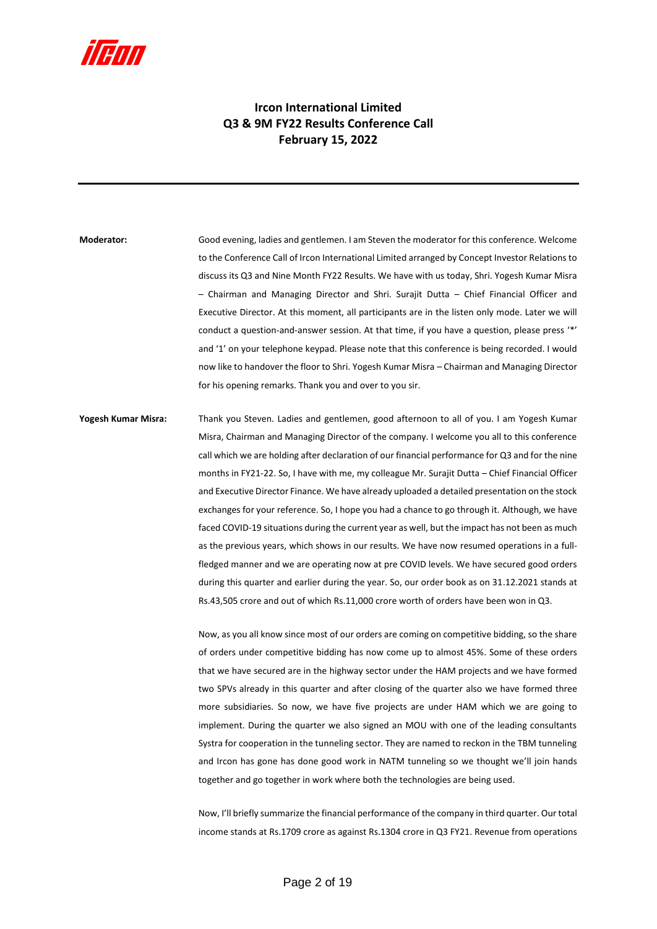

### **Ircon International Limited Q3 & 9M FY22 Results Conference Call February 15, 2022**

**Moderator:** Good evening, ladies and gentlemen. I am Steven the moderator for this conference. Welcome to the Conference Call of Ircon International Limited arranged by Concept Investor Relations to discuss its Q3 and Nine Month FY22 Results. We have with us today, Shri. Yogesh Kumar Misra – Chairman and Managing Director and Shri. Surajit Dutta – Chief Financial Officer and Executive Director. At this moment, all participants are in the listen only mode. Later we will conduct a question-and-answer session. At that time, if you have a question, please press '\*' and '1' on your telephone keypad. Please note that this conference is being recorded. I would now like to handover the floor to Shri. Yogesh Kumar Misra – Chairman and Managing Director for his opening remarks. Thank you and over to you sir.

**Yogesh Kumar Misra:** Thank you Steven. Ladies and gentlemen, good afternoon to all of you. I am Yogesh Kumar Misra, Chairman and Managing Director of the company. I welcome you all to this conference call which we are holding after declaration of our financial performance for Q3 and for the nine months in FY21-22. So, I have with me, my colleague Mr. Surajit Dutta – Chief Financial Officer and Executive Director Finance. We have already uploaded a detailed presentation on the stock exchanges for your reference. So, I hope you had a chance to go through it. Although, we have faced COVID-19 situations during the current year as well, but the impact has not been as much as the previous years, which shows in our results. We have now resumed operations in a fullfledged manner and we are operating now at pre COVID levels. We have secured good orders during this quarter and earlier during the year. So, our order book as on 31.12.2021 stands at Rs.43,505 crore and out of which Rs.11,000 crore worth of orders have been won in Q3.

> Now, as you all know since most of our orders are coming on competitive bidding, so the share of orders under competitive bidding has now come up to almost 45%. Some of these orders that we have secured are in the highway sector under the HAM projects and we have formed two SPVs already in this quarter and after closing of the quarter also we have formed three more subsidiaries. So now, we have five projects are under HAM which we are going to implement. During the quarter we also signed an MOU with one of the leading consultants Systra for cooperation in the tunneling sector. They are named to reckon in the TBM tunneling and Ircon has gone has done good work in NATM tunneling so we thought we'll join hands together and go together in work where both the technologies are being used.

> Now, I'll briefly summarize the financial performance of the company in third quarter. Our total income stands at Rs.1709 crore as against Rs.1304 crore in Q3 FY21. Revenue from operations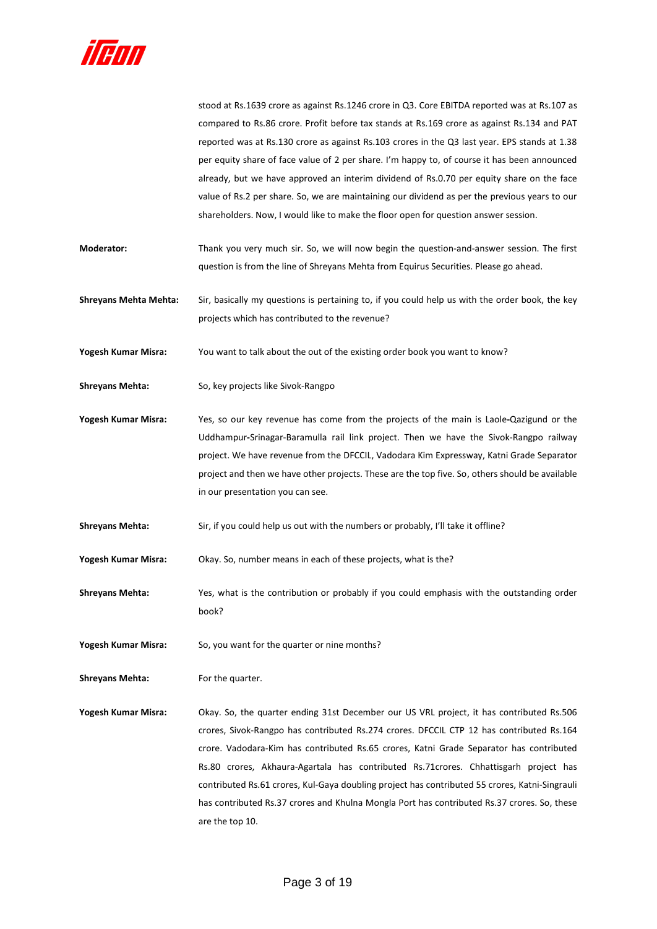

stood at Rs.1639 crore as against Rs.1246 crore in Q3. Core EBITDA reported was at Rs.107 as compared to Rs.86 crore. Profit before tax stands at Rs.169 crore as against Rs.134 and PAT reported was at Rs.130 crore as against Rs.103 crores in the Q3 last year. EPS stands at 1.38 per equity share of face value of 2 per share. I'm happy to, of course it has been announced already, but we have approved an interim dividend of Rs.0.70 per equity share on the face value of Rs.2 per share. So, we are maintaining our dividend as per the previous years to our shareholders. Now, I would like to make the floor open for question answer session.

- **Moderator:** Thank you very much sir. So, we will now begin the question-and-answer session. The first question is from the line of Shreyans Mehta from Equirus Securities. Please go ahead.
- **Shreyans Mehta Mehta:** Sir, basically my questions is pertaining to, if you could help us with the order book, the key projects which has contributed to the revenue?

**Yogesh Kumar Misra:** You want to talk about the out of the existing order book you want to know?

- Shreyans Mehta: So, key projects like Sivok-Rangpo
- **Yogesh Kumar Misra:** Yes, so our key revenue has come from the projects of the main is Laole**-**Qazigund or the Uddhampur**-**Srinagar-Baramulla rail link project. Then we have the Sivok-Rangpo railway project. We have revenue from the DFCCIL, Vadodara Kim Expressway, Katni Grade Separator project and then we have other projects. These are the top five. So, others should be available in our presentation you can see.
- Shreyans Mehta: Sir, if you could help us out with the numbers or probably, I'll take it offline?

**Yogesh Kumar Misra:** Okay. So, number means in each of these projects, what is the?

- **Shreyans Mehta:** Yes, what is the contribution or probably if you could emphasis with the outstanding order book?
- **Yogesh Kumar Misra:** So, you want for the quarter or nine months?

**Shreyans Mehta:** For the quarter.

**Yogesh Kumar Misra:** Okay. So, the quarter ending 31st December our US VRL project, it has contributed Rs.506 crores, Sivok-Rangpo has contributed Rs.274 crores. DFCCIL CTP 12 has contributed Rs.164 crore. Vadodara-Kim has contributed Rs.65 crores, Katni Grade Separator has contributed Rs.80 crores, Akhaura-Agartala has contributed Rs.71crores. Chhattisgarh project has contributed Rs.61 crores, Kul-Gaya doubling project has contributed 55 crores, Katni-Singrauli has contributed Rs.37 crores and Khulna Mongla Port has contributed Rs.37 crores. So, these are the top 10.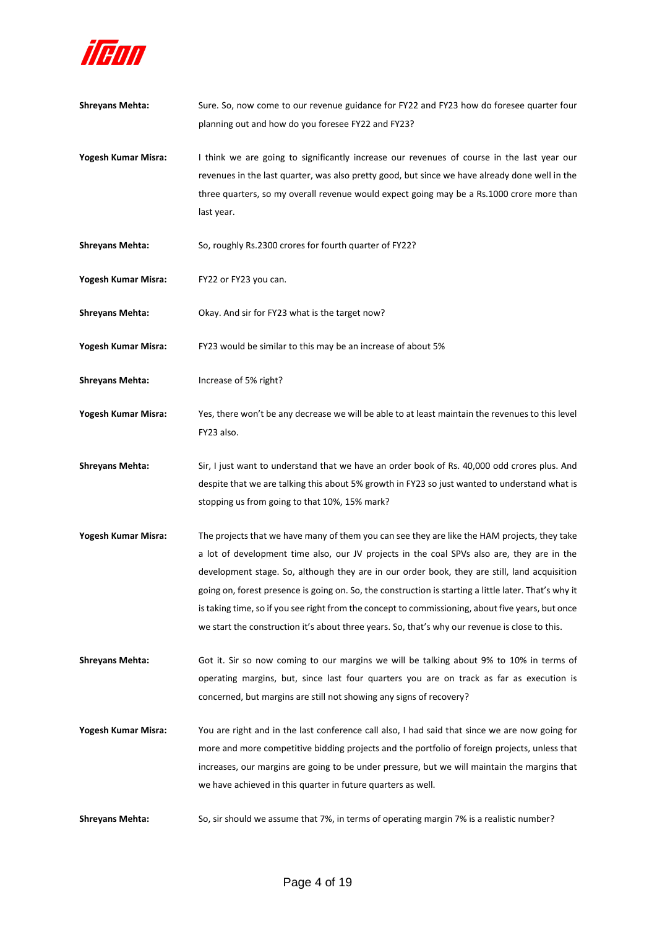

planning out and how do you foresee FY22 and FY23? **Yogesh Kumar Misra:** I think we are going to significantly increase our revenues of course in the last year our revenues in the last quarter, was also pretty good, but since we have already done well in the three quarters, so my overall revenue would expect going may be a Rs.1000 crore more than last year. Shreyans Mehta: So, roughly Rs.2300 crores for fourth quarter of FY22? **Yogesh Kumar Misra:** FY22 or FY23 you can. **Shreyans Mehta:** Okay. And sir for FY23 what is the target now? **Yogesh Kumar Misra:** FY23 would be similar to this may be an increase of about 5% **Shreyans Mehta:** Increase of 5% right? **Yogesh Kumar Misra:** Yes, there won't be any decrease we will be able to at least maintain the revenues to this level FY23 also. **Shreyans Mehta:** Sir, I just want to understand that we have an order book of Rs. 40,000 odd crores plus. And despite that we are talking this about 5% growth in FY23 so just wanted to understand what is stopping us from going to that 10%, 15% mark? **Yogesh Kumar Misra:** The projects that we have many of them you can see they are like the HAM projects, they take a lot of development time also, our JV projects in the coal SPVs also are, they are in the development stage. So, although they are in our order book, they are still, land acquisition going on, forest presence is going on. So, the construction is starting a little later. That's why it is taking time, so if you see right from the concept to commissioning, about five years, but once we start the construction it's about three years. So, that's why our revenue is close to this. **Shreyans Mehta:** Got it. Sir so now coming to our margins we will be talking about 9% to 10% in terms of operating margins, but, since last four quarters you are on track as far as execution is concerned, but margins are still not showing any signs of recovery? **Yogesh Kumar Misra:** You are right and in the last conference call also, I had said that since we are now going for more and more competitive bidding projects and the portfolio of foreign projects, unless that increases, our margins are going to be under pressure, but we will maintain the margins that we have achieved in this quarter in future quarters as well. **Shreyans Mehta:** So, sir should we assume that 7%, in terms of operating margin 7% is a realistic number?

**Shreyans Mehta:** Sure. So, now come to our revenue guidance for FY22 and FY23 how do foresee quarter four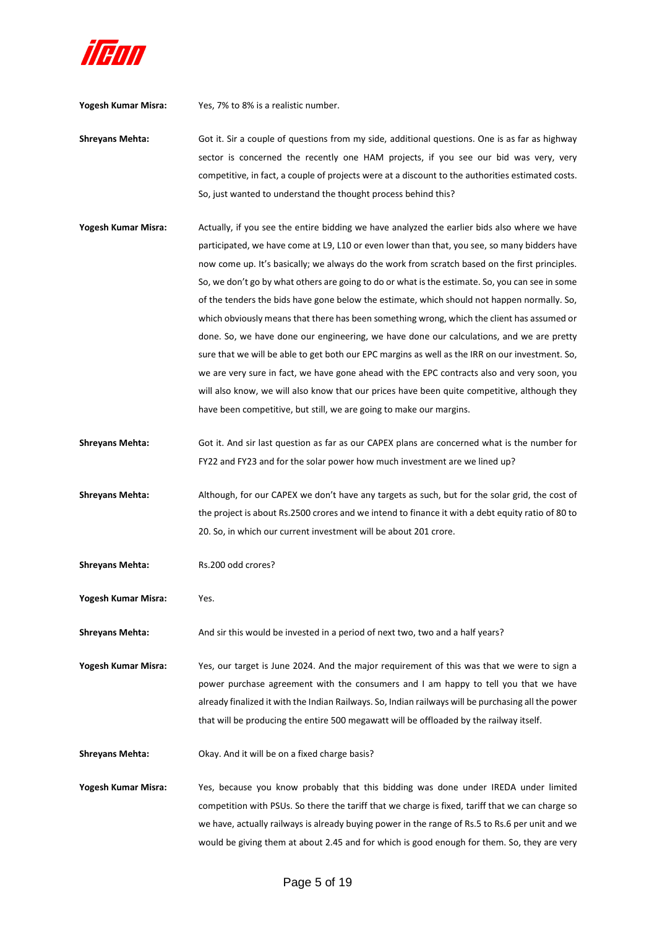

**Yogesh Kumar Misra:** Yes, 7% to 8% is a realistic number.

**Shreyans Mehta:** Got it. Sir a couple of questions from my side, additional questions. One is as far as highway sector is concerned the recently one HAM projects, if you see our bid was very, very competitive, in fact, a couple of projects were at a discount to the authorities estimated costs. So, just wanted to understand the thought process behind this?

**Yogesh Kumar Misra:** Actually, if you see the entire bidding we have analyzed the earlier bids also where we have participated, we have come at L9, L10 or even lower than that, you see, so many bidders have now come up. It's basically; we always do the work from scratch based on the first principles. So, we don't go by what others are going to do or what is the estimate. So, you can see in some of the tenders the bids have gone below the estimate, which should not happen normally. So, which obviously means that there has been something wrong, which the client has assumed or done. So, we have done our engineering, we have done our calculations, and we are pretty sure that we will be able to get both our EPC margins as well as the IRR on our investment. So, we are very sure in fact, we have gone ahead with the EPC contracts also and very soon, you will also know, we will also know that our prices have been quite competitive, although they have been competitive, but still, we are going to make our margins.

**Shreyans Mehta:** Got it. And sir last question as far as our CAPEX plans are concerned what is the number for FY22 and FY23 and for the solar power how much investment are we lined up?

**Shreyans Mehta:** Although, for our CAPEX we don't have any targets as such, but for the solar grid, the cost of the project is about Rs.2500 crores and we intend to finance it with a debt equity ratio of 80 to 20. So, in which our current investment will be about 201 crore.

**Shreyans Mehta:** Rs.200 odd crores?

**Yogesh Kumar Misra:** Yes.

Shreyans Mehta: And sir this would be invested in a period of next two, two and a half years?

**Yogesh Kumar Misra:** Yes, our target is June 2024. And the major requirement of this was that we were to sign a power purchase agreement with the consumers and I am happy to tell you that we have already finalized it with the Indian Railways. So, Indian railways will be purchasing all the power that will be producing the entire 500 megawatt will be offloaded by the railway itself.

**Shreyans Mehta:** Okay. And it will be on a fixed charge basis?

**Yogesh Kumar Misra:** Yes, because you know probably that this bidding was done under IREDA under limited competition with PSUs. So there the tariff that we charge is fixed, tariff that we can charge so we have, actually railways is already buying power in the range of Rs.5 to Rs.6 per unit and we would be giving them at about 2.45 and for which is good enough for them. So, they are very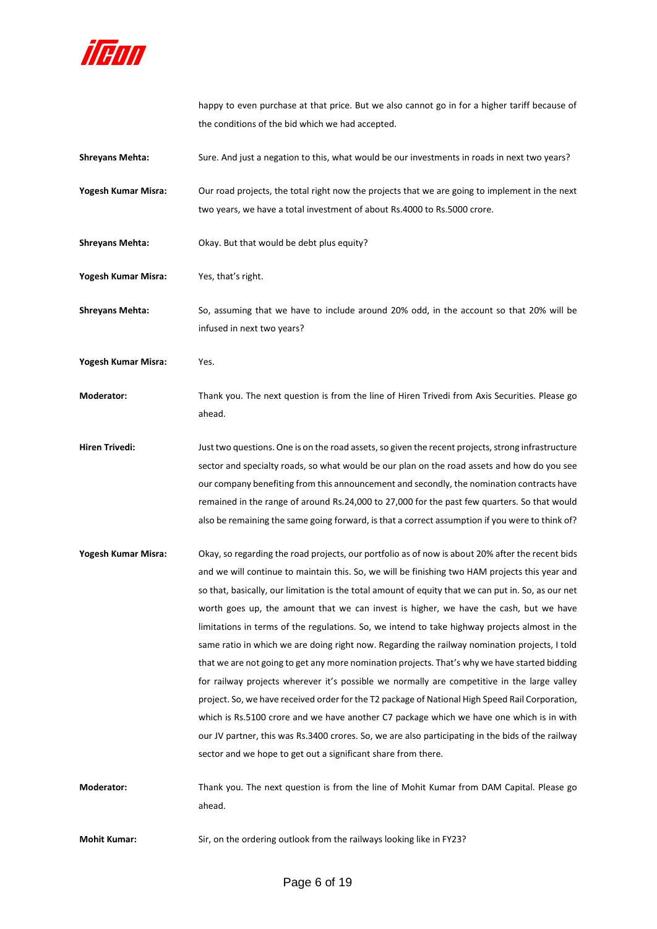

happy to even purchase at that price. But we also cannot go in for a higher tariff because of the conditions of the bid which we had accepted.

**Shreyans Mehta:** Sure. And just a negation to this, what would be our investments in roads in next two years? **Yogesh Kumar Misra:** Our road projects, the total right now the projects that we are going to implement in the next two years, we have a total investment of about Rs.4000 to Rs.5000 crore. **Shreyans Mehta:** Okay. But that would be debt plus equity? **Yogesh Kumar Misra:** Yes, that's right. **Shreyans Mehta:** So, assuming that we have to include around 20% odd, in the account so that 20% will be infused in next two years? **Yogesh Kumar Misra:** Yes. **Moderator:** Thank you. The next question is from the line of Hiren Trivedi from Axis Securities. Please go ahead. **Hiren Trivedi:** Just two questions. One is on the road assets,so given the recent projects, strong infrastructure sector and specialty roads, so what would be our plan on the road assets and how do you see our company benefiting from this announcement and secondly, the nomination contracts have remained in the range of around Rs.24,000 to 27,000 for the past few quarters. So that would also be remaining the same going forward, is that a correct assumption if you were to think of? **Yogesh Kumar Misra:** Okay, so regarding the road projects, our portfolio as of now is about 20% after the recent bids and we will continue to maintain this. So, we will be finishing two HAM projects this year and so that, basically, our limitation is the total amount of equity that we can put in. So, as our net worth goes up, the amount that we can invest is higher, we have the cash, but we have limitations in terms of the regulations. So, we intend to take highway projects almost in the same ratio in which we are doing right now. Regarding the railway nomination projects, I told that we are not going to get any more nomination projects. That's why we have started bidding for railway projects wherever it's possible we normally are competitive in the large valley project. So, we have received order for the T2 package of National High Speed Rail Corporation, which is Rs.5100 crore and we have another C7 package which we have one which is in with our JV partner, this was Rs.3400 crores. So, we are also participating in the bids of the railway sector and we hope to get out a significant share from there.

**Moderator:** Thank you. The next question is from the line of Mohit Kumar from DAM Capital. Please go ahead.

**Mohit Kumar:** Sir, on the ordering outlook from the railways looking like in FY23?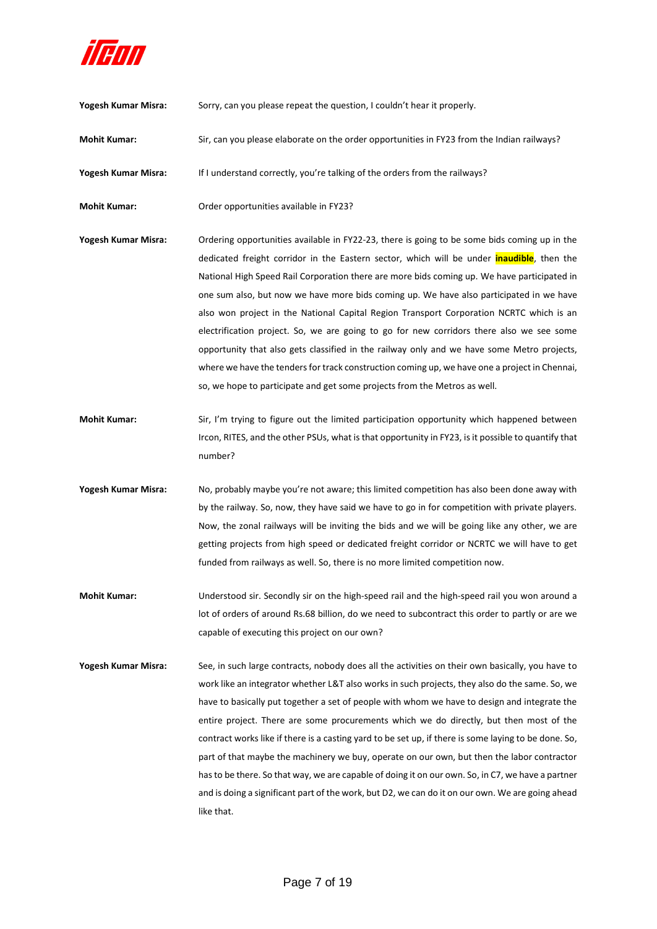

| Yogesh Kumar Misra: | Sorry, can you please repeat the question, I couldn't hear it properly.                                                                                                                                                                                                                                                                                                                                                                                                                                                                                                                                                                                                                                                                                                                                                                                        |
|---------------------|----------------------------------------------------------------------------------------------------------------------------------------------------------------------------------------------------------------------------------------------------------------------------------------------------------------------------------------------------------------------------------------------------------------------------------------------------------------------------------------------------------------------------------------------------------------------------------------------------------------------------------------------------------------------------------------------------------------------------------------------------------------------------------------------------------------------------------------------------------------|
| <b>Mohit Kumar:</b> | Sir, can you please elaborate on the order opportunities in FY23 from the Indian railways?                                                                                                                                                                                                                                                                                                                                                                                                                                                                                                                                                                                                                                                                                                                                                                     |
| Yogesh Kumar Misra: | If I understand correctly, you're talking of the orders from the railways?                                                                                                                                                                                                                                                                                                                                                                                                                                                                                                                                                                                                                                                                                                                                                                                     |
| <b>Mohit Kumar:</b> | Order opportunities available in FY23?                                                                                                                                                                                                                                                                                                                                                                                                                                                                                                                                                                                                                                                                                                                                                                                                                         |
| Yogesh Kumar Misra: | Ordering opportunities available in FY22-23, there is going to be some bids coming up in the<br>dedicated freight corridor in the Eastern sector, which will be under <i>inaudible</i> , then the<br>National High Speed Rail Corporation there are more bids coming up. We have participated in<br>one sum also, but now we have more bids coming up. We have also participated in we have<br>also won project in the National Capital Region Transport Corporation NCRTC which is an<br>electrification project. So, we are going to go for new corridors there also we see some<br>opportunity that also gets classified in the railway only and we have some Metro projects,<br>where we have the tenders for track construction coming up, we have one a project in Chennai,<br>so, we hope to participate and get some projects from the Metros as well. |
| <b>Mohit Kumar:</b> | Sir, I'm trying to figure out the limited participation opportunity which happened between<br>Ircon, RITES, and the other PSUs, what is that opportunity in FY23, is it possible to quantify that<br>number?                                                                                                                                                                                                                                                                                                                                                                                                                                                                                                                                                                                                                                                   |
| Yogesh Kumar Misra: | No, probably maybe you're not aware; this limited competition has also been done away with<br>by the railway. So, now, they have said we have to go in for competition with private players.<br>Now, the zonal railways will be inviting the bids and we will be going like any other, we are<br>getting projects from high speed or dedicated freight corridor or NCRTC we will have to get<br>funded from railways as well. So, there is no more limited competition now.                                                                                                                                                                                                                                                                                                                                                                                    |
| <b>Mohit Kumar:</b> | Understood sir. Secondly sir on the high-speed rail and the high-speed rail you won around a<br>lot of orders of around Rs.68 billion, do we need to subcontract this order to partly or are we<br>capable of executing this project on our own?                                                                                                                                                                                                                                                                                                                                                                                                                                                                                                                                                                                                               |
| Yogesh Kumar Misra: | See, in such large contracts, nobody does all the activities on their own basically, you have to                                                                                                                                                                                                                                                                                                                                                                                                                                                                                                                                                                                                                                                                                                                                                               |

work like an integrator whether L&T also works in such projects, they also do the same. So, we have to basically put together a set of people with whom we have to design and integrate the entire project. There are some procurements which we do directly, but then most of the contract works like if there is a casting yard to be set up, if there is some laying to be done. So, part of that maybe the machinery we buy, operate on our own, but then the labor contractor has to be there. So that way, we are capable of doing it on our own. So, in C7, we have a partner and is doing a significant part of the work, but D2, we can do it on our own. We are going ahead like that.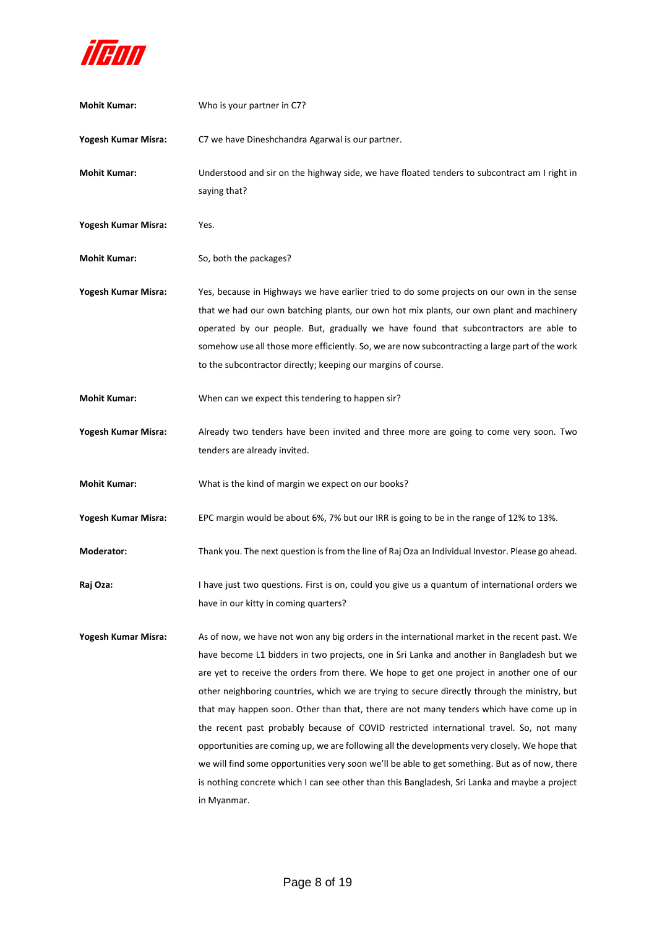

| <b>Mohit Kumar:</b> | Who is your partner in C7?                                                                                                                                                                                                                                                                                                                                                                                                                                                                                                                                                                                                                                                                                                                                                                                                                                                                        |
|---------------------|---------------------------------------------------------------------------------------------------------------------------------------------------------------------------------------------------------------------------------------------------------------------------------------------------------------------------------------------------------------------------------------------------------------------------------------------------------------------------------------------------------------------------------------------------------------------------------------------------------------------------------------------------------------------------------------------------------------------------------------------------------------------------------------------------------------------------------------------------------------------------------------------------|
| Yogesh Kumar Misra: | C7 we have Dineshchandra Agarwal is our partner.                                                                                                                                                                                                                                                                                                                                                                                                                                                                                                                                                                                                                                                                                                                                                                                                                                                  |
| <b>Mohit Kumar:</b> | Understood and sir on the highway side, we have floated tenders to subcontract am I right in<br>saying that?                                                                                                                                                                                                                                                                                                                                                                                                                                                                                                                                                                                                                                                                                                                                                                                      |
| Yogesh Kumar Misra: | Yes.                                                                                                                                                                                                                                                                                                                                                                                                                                                                                                                                                                                                                                                                                                                                                                                                                                                                                              |
| <b>Mohit Kumar:</b> | So, both the packages?                                                                                                                                                                                                                                                                                                                                                                                                                                                                                                                                                                                                                                                                                                                                                                                                                                                                            |
| Yogesh Kumar Misra: | Yes, because in Highways we have earlier tried to do some projects on our own in the sense<br>that we had our own batching plants, our own hot mix plants, our own plant and machinery<br>operated by our people. But, gradually we have found that subcontractors are able to<br>somehow use all those more efficiently. So, we are now subcontracting a large part of the work<br>to the subcontractor directly; keeping our margins of course.                                                                                                                                                                                                                                                                                                                                                                                                                                                 |
| <b>Mohit Kumar:</b> | When can we expect this tendering to happen sir?                                                                                                                                                                                                                                                                                                                                                                                                                                                                                                                                                                                                                                                                                                                                                                                                                                                  |
| Yogesh Kumar Misra: | Already two tenders have been invited and three more are going to come very soon. Two<br>tenders are already invited.                                                                                                                                                                                                                                                                                                                                                                                                                                                                                                                                                                                                                                                                                                                                                                             |
| <b>Mohit Kumar:</b> | What is the kind of margin we expect on our books?                                                                                                                                                                                                                                                                                                                                                                                                                                                                                                                                                                                                                                                                                                                                                                                                                                                |
| Yogesh Kumar Misra: | EPC margin would be about 6%, 7% but our IRR is going to be in the range of 12% to 13%.                                                                                                                                                                                                                                                                                                                                                                                                                                                                                                                                                                                                                                                                                                                                                                                                           |
| Moderator:          | Thank you. The next question is from the line of Raj Oza an Individual Investor. Please go ahead.                                                                                                                                                                                                                                                                                                                                                                                                                                                                                                                                                                                                                                                                                                                                                                                                 |
| Raj Oza:            | I have just two questions. First is on, could you give us a quantum of international orders we<br>have in our kitty in coming quarters?                                                                                                                                                                                                                                                                                                                                                                                                                                                                                                                                                                                                                                                                                                                                                           |
| Yogesh Kumar Misra: | As of now, we have not won any big orders in the international market in the recent past. We<br>have become L1 bidders in two projects, one in Sri Lanka and another in Bangladesh but we<br>are yet to receive the orders from there. We hope to get one project in another one of our<br>other neighboring countries, which we are trying to secure directly through the ministry, but<br>that may happen soon. Other than that, there are not many tenders which have come up in<br>the recent past probably because of COVID restricted international travel. So, not many<br>opportunities are coming up, we are following all the developments very closely. We hope that<br>we will find some opportunities very soon we'll be able to get something. But as of now, there<br>is nothing concrete which I can see other than this Bangladesh, Sri Lanka and maybe a project<br>in Myanmar. |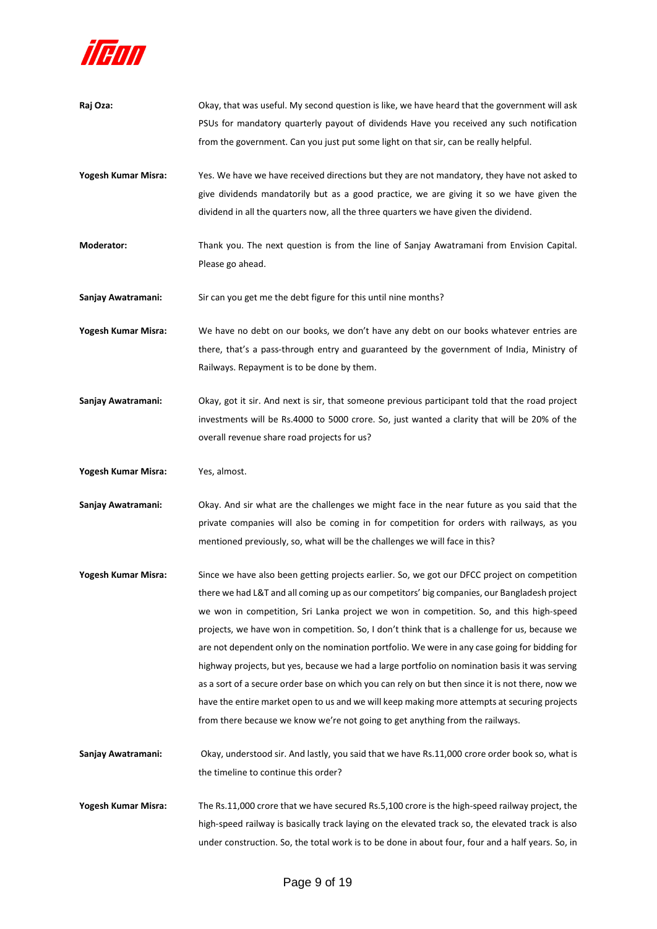

| Raj Oza:            | Okay, that was useful. My second question is like, we have heard that the government will ask<br>PSUs for mandatory quarterly payout of dividends Have you received any such notification<br>from the government. Can you just put some light on that sir, can be really helpful.                                                                                                                                                                                                                                                                                                                                                                                                                                                                                                                                                                                                 |
|---------------------|-----------------------------------------------------------------------------------------------------------------------------------------------------------------------------------------------------------------------------------------------------------------------------------------------------------------------------------------------------------------------------------------------------------------------------------------------------------------------------------------------------------------------------------------------------------------------------------------------------------------------------------------------------------------------------------------------------------------------------------------------------------------------------------------------------------------------------------------------------------------------------------|
| Yogesh Kumar Misra: | Yes. We have we have received directions but they are not mandatory, they have not asked to<br>give dividends mandatorily but as a good practice, we are giving it so we have given the<br>dividend in all the quarters now, all the three quarters we have given the dividend.                                                                                                                                                                                                                                                                                                                                                                                                                                                                                                                                                                                                   |
| Moderator:          | Thank you. The next question is from the line of Sanjay Awatramani from Envision Capital.<br>Please go ahead.                                                                                                                                                                                                                                                                                                                                                                                                                                                                                                                                                                                                                                                                                                                                                                     |
| Sanjay Awatramani:  | Sir can you get me the debt figure for this until nine months?                                                                                                                                                                                                                                                                                                                                                                                                                                                                                                                                                                                                                                                                                                                                                                                                                    |
| Yogesh Kumar Misra: | We have no debt on our books, we don't have any debt on our books whatever entries are<br>there, that's a pass-through entry and guaranteed by the government of India, Ministry of<br>Railways. Repayment is to be done by them.                                                                                                                                                                                                                                                                                                                                                                                                                                                                                                                                                                                                                                                 |
| Sanjay Awatramani:  | Okay, got it sir. And next is sir, that someone previous participant told that the road project<br>investments will be Rs.4000 to 5000 crore. So, just wanted a clarity that will be 20% of the<br>overall revenue share road projects for us?                                                                                                                                                                                                                                                                                                                                                                                                                                                                                                                                                                                                                                    |
| Yogesh Kumar Misra: | Yes, almost.                                                                                                                                                                                                                                                                                                                                                                                                                                                                                                                                                                                                                                                                                                                                                                                                                                                                      |
| Sanjay Awatramani:  | Okay. And sir what are the challenges we might face in the near future as you said that the<br>private companies will also be coming in for competition for orders with railways, as you<br>mentioned previously, so, what will be the challenges we will face in this?                                                                                                                                                                                                                                                                                                                                                                                                                                                                                                                                                                                                           |
| Yogesh Kumar Misra: | Since we have also been getting projects earlier. So, we got our DFCC project on competition<br>there we had L&T and all coming up as our competitors' big companies, our Bangladesh project<br>we won in competition, Sri Lanka project we won in competition. So, and this high-speed<br>projects, we have won in competition. So, I don't think that is a challenge for us, because we<br>are not dependent only on the nomination portfolio. We were in any case going for bidding for<br>highway projects, but yes, because we had a large portfolio on nomination basis it was serving<br>as a sort of a secure order base on which you can rely on but then since it is not there, now we<br>have the entire market open to us and we will keep making more attempts at securing projects<br>from there because we know we're not going to get anything from the railways. |
| Sanjay Awatramani:  | Okay, understood sir. And lastly, you said that we have Rs.11,000 crore order book so, what is<br>the timeline to continue this order?                                                                                                                                                                                                                                                                                                                                                                                                                                                                                                                                                                                                                                                                                                                                            |
| Yogesh Kumar Misra: | The Rs.11,000 crore that we have secured Rs.5,100 crore is the high-speed railway project, the<br>high-speed railway is basically track laying on the elevated track so, the elevated track is also<br>under construction. So, the total work is to be done in about four, four and a half years. So, in                                                                                                                                                                                                                                                                                                                                                                                                                                                                                                                                                                          |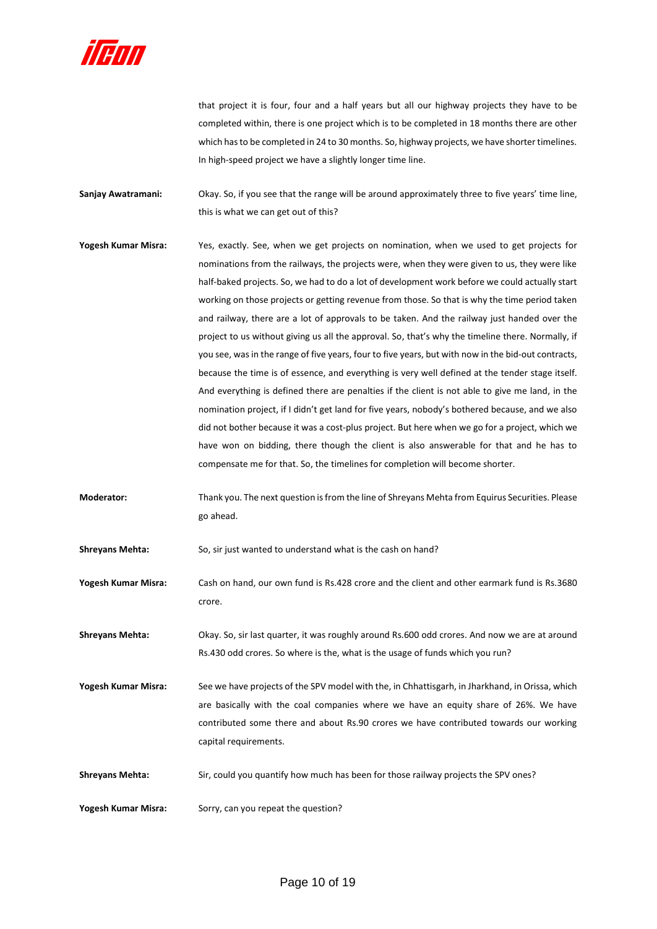

that project it is four, four and a half years but all our highway projects they have to be completed within, there is one project which is to be completed in 18 months there are other which has to be completed in 24 to 30 months. So, highway projects, we have shorter timelines. In high-speed project we have a slightly longer time line.

**Sanjay Awatramani:** Okay. So, if you see that the range will be around approximately three to five years' time line, this is what we can get out of this?

- **Yogesh Kumar Misra:** Yes, exactly. See, when we get projects on nomination, when we used to get projects for nominations from the railways, the projects were, when they were given to us, they were like half-baked projects. So, we had to do a lot of development work before we could actually start working on those projects or getting revenue from those. So that is why the time period taken and railway, there are a lot of approvals to be taken. And the railway just handed over the project to us without giving us all the approval. So, that's why the timeline there. Normally, if you see, was in the range of five years, four to five years, but with now in the bid-out contracts, because the time is of essence, and everything is very well defined at the tender stage itself. And everything is defined there are penalties if the client is not able to give me land, in the nomination project, if I didn't get land for five years, nobody's bothered because, and we also did not bother because it was a cost-plus project. But here when we go for a project, which we have won on bidding, there though the client is also answerable for that and he has to compensate me for that. So, the timelines for completion will become shorter.
- **Moderator:** Thank you. The next question is from the line of Shreyans Mehta from Equirus Securities. Please go ahead.

**Shreyans Mehta:** So, sir just wanted to understand what is the cash on hand?

**Yogesh Kumar Misra:** Cash on hand, our own fund is Rs.428 crore and the client and other earmark fund is Rs.3680 crore.

**Shreyans Mehta:** Okay. So, sir last quarter, it was roughly around Rs.600 odd crores. And now we are at around Rs.430 odd crores. So where is the, what is the usage of funds which you run?

**Yogesh Kumar Misra:** See we have projects of the SPV model with the, in Chhattisgarh, in Jharkhand, in Orissa, which are basically with the coal companies where we have an equity share of 26%. We have contributed some there and about Rs.90 crores we have contributed towards our working capital requirements.

Shreyans Mehta: Sir, could you quantify how much has been for those railway projects the SPV ones?

**Yogesh Kumar Misra:** Sorry, can you repeat the question?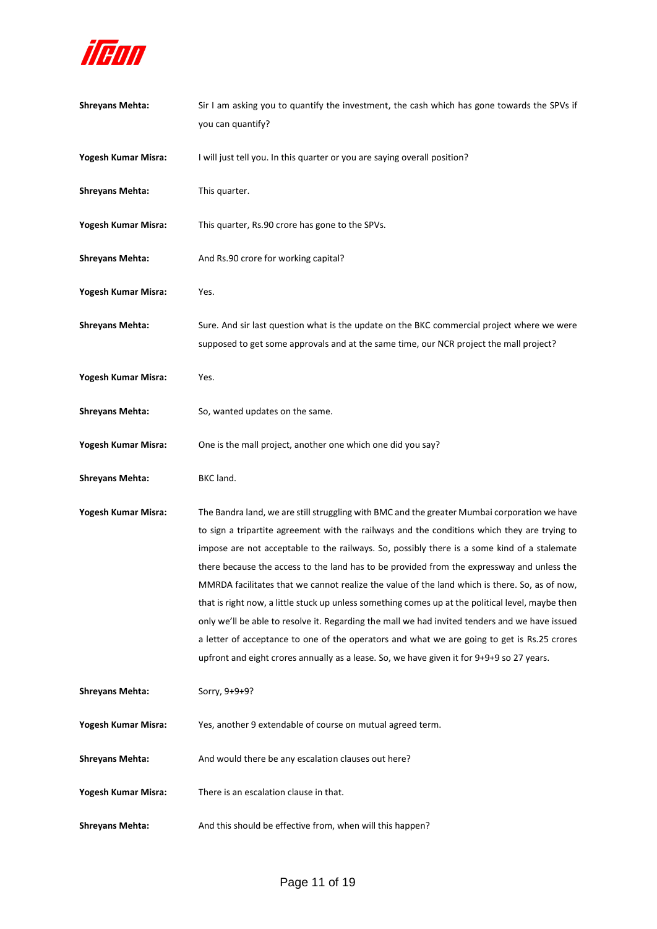

| <b>Shreyans Mehta:</b> | Sir I am asking you to quantify the investment, the cash which has gone towards the SPVs if<br>you can quantify?                                                                                                                                                                                                                                                                                                                                                                                                                                                                                                                                                                                                                                                                                                                                                                              |
|------------------------|-----------------------------------------------------------------------------------------------------------------------------------------------------------------------------------------------------------------------------------------------------------------------------------------------------------------------------------------------------------------------------------------------------------------------------------------------------------------------------------------------------------------------------------------------------------------------------------------------------------------------------------------------------------------------------------------------------------------------------------------------------------------------------------------------------------------------------------------------------------------------------------------------|
| Yogesh Kumar Misra:    | I will just tell you. In this quarter or you are saying overall position?                                                                                                                                                                                                                                                                                                                                                                                                                                                                                                                                                                                                                                                                                                                                                                                                                     |
| <b>Shreyans Mehta:</b> | This quarter.                                                                                                                                                                                                                                                                                                                                                                                                                                                                                                                                                                                                                                                                                                                                                                                                                                                                                 |
| Yogesh Kumar Misra:    | This quarter, Rs.90 crore has gone to the SPVs.                                                                                                                                                                                                                                                                                                                                                                                                                                                                                                                                                                                                                                                                                                                                                                                                                                               |
| <b>Shreyans Mehta:</b> | And Rs.90 crore for working capital?                                                                                                                                                                                                                                                                                                                                                                                                                                                                                                                                                                                                                                                                                                                                                                                                                                                          |
| Yogesh Kumar Misra:    | Yes.                                                                                                                                                                                                                                                                                                                                                                                                                                                                                                                                                                                                                                                                                                                                                                                                                                                                                          |
| <b>Shreyans Mehta:</b> | Sure. And sir last question what is the update on the BKC commercial project where we were<br>supposed to get some approvals and at the same time, our NCR project the mall project?                                                                                                                                                                                                                                                                                                                                                                                                                                                                                                                                                                                                                                                                                                          |
| Yogesh Kumar Misra:    | Yes.                                                                                                                                                                                                                                                                                                                                                                                                                                                                                                                                                                                                                                                                                                                                                                                                                                                                                          |
| <b>Shreyans Mehta:</b> | So, wanted updates on the same.                                                                                                                                                                                                                                                                                                                                                                                                                                                                                                                                                                                                                                                                                                                                                                                                                                                               |
| Yogesh Kumar Misra:    | One is the mall project, another one which one did you say?                                                                                                                                                                                                                                                                                                                                                                                                                                                                                                                                                                                                                                                                                                                                                                                                                                   |
|                        |                                                                                                                                                                                                                                                                                                                                                                                                                                                                                                                                                                                                                                                                                                                                                                                                                                                                                               |
| <b>Shreyans Mehta:</b> | BKC land.                                                                                                                                                                                                                                                                                                                                                                                                                                                                                                                                                                                                                                                                                                                                                                                                                                                                                     |
| Yogesh Kumar Misra:    | The Bandra land, we are still struggling with BMC and the greater Mumbai corporation we have<br>to sign a tripartite agreement with the railways and the conditions which they are trying to<br>impose are not acceptable to the railways. So, possibly there is a some kind of a stalemate<br>there because the access to the land has to be provided from the expressway and unless the<br>MMRDA facilitates that we cannot realize the value of the land which is there. So, as of now,<br>that is right now, a little stuck up unless something comes up at the political level, maybe then<br>only we'll be able to resolve it. Regarding the mall we had invited tenders and we have issued<br>a letter of acceptance to one of the operators and what we are going to get is Rs.25 crores<br>upfront and eight crores annually as a lease. So, we have given it for 9+9+9 so 27 years. |
| <b>Shreyans Mehta:</b> | Sorry, 9+9+9?                                                                                                                                                                                                                                                                                                                                                                                                                                                                                                                                                                                                                                                                                                                                                                                                                                                                                 |
| Yogesh Kumar Misra:    | Yes, another 9 extendable of course on mutual agreed term.                                                                                                                                                                                                                                                                                                                                                                                                                                                                                                                                                                                                                                                                                                                                                                                                                                    |
| <b>Shreyans Mehta:</b> | And would there be any escalation clauses out here?                                                                                                                                                                                                                                                                                                                                                                                                                                                                                                                                                                                                                                                                                                                                                                                                                                           |
| Yogesh Kumar Misra:    | There is an escalation clause in that.                                                                                                                                                                                                                                                                                                                                                                                                                                                                                                                                                                                                                                                                                                                                                                                                                                                        |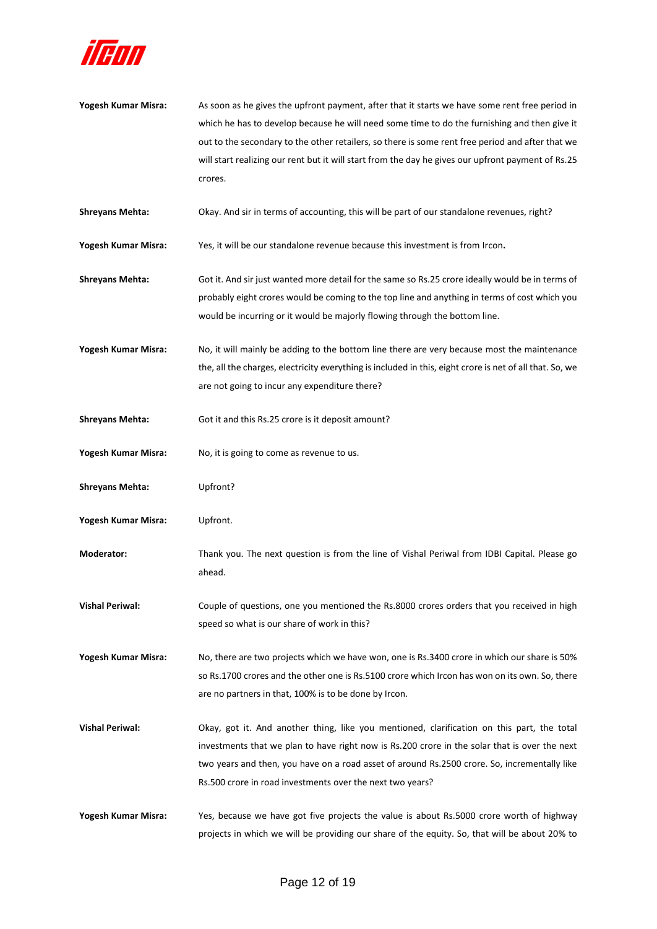

- **Yogesh Kumar Misra:** As soon as he gives the upfront payment, after that it starts we have some rent free period in which he has to develop because he will need some time to do the furnishing and then give it out to the secondary to the other retailers, so there is some rent free period and after that we will start realizing our rent but it will start from the day he gives our upfront payment of Rs.25 crores.
- **Shreyans Mehta:** Okay. And sir in terms of accounting, this will be part of our standalone revenues, right?
- **Yogesh Kumar Misra:** Yes, it will be our standalone revenue because this investment is from Ircon**.**
- **Shreyans Mehta:** Got it. And sir just wanted more detail for the same so Rs.25 crore ideally would be in terms of probably eight crores would be coming to the top line and anything in terms of cost which you would be incurring or it would be majorly flowing through the bottom line.
- **Yogesh Kumar Misra:** No, it will mainly be adding to the bottom line there are very because most the maintenance the, all the charges, electricity everything is included in this, eight crore is net of all that. So, we are not going to incur any expenditure there?
- **Shreyans Mehta:** Got it and this Rs.25 crore is it deposit amount?
- **Yogesh Kumar Misra:** No, it is going to come as revenue to us.
- **Shreyans Mehta:** Upfront?
- **Yogesh Kumar Misra:** Upfront.
- **Moderator:** Thank you. The next question is from the line of Vishal Periwal from IDBI Capital. Please go ahead.
- **Vishal Periwal:** Couple of questions, one you mentioned the Rs.8000 crores orders that you received in high speed so what is our share of work in this?
- **Yogesh Kumar Misra:** No, there are two projects which we have won, one is Rs.3400 crore in which our share is 50% so Rs.1700 crores and the other one is Rs.5100 crore which Ircon has won on its own. So, there are no partners in that, 100% is to be done by Ircon.
- **Vishal Periwal:** Okay, got it. And another thing, like you mentioned, clarification on this part, the total investments that we plan to have right now is Rs.200 crore in the solar that is over the next two years and then, you have on a road asset of around Rs.2500 crore. So, incrementally like Rs.500 crore in road investments over the next two years?
- **Yogesh Kumar Misra:** Yes, because we have got five projects the value is about Rs.5000 crore worth of highway projects in which we will be providing our share of the equity. So, that will be about 20% to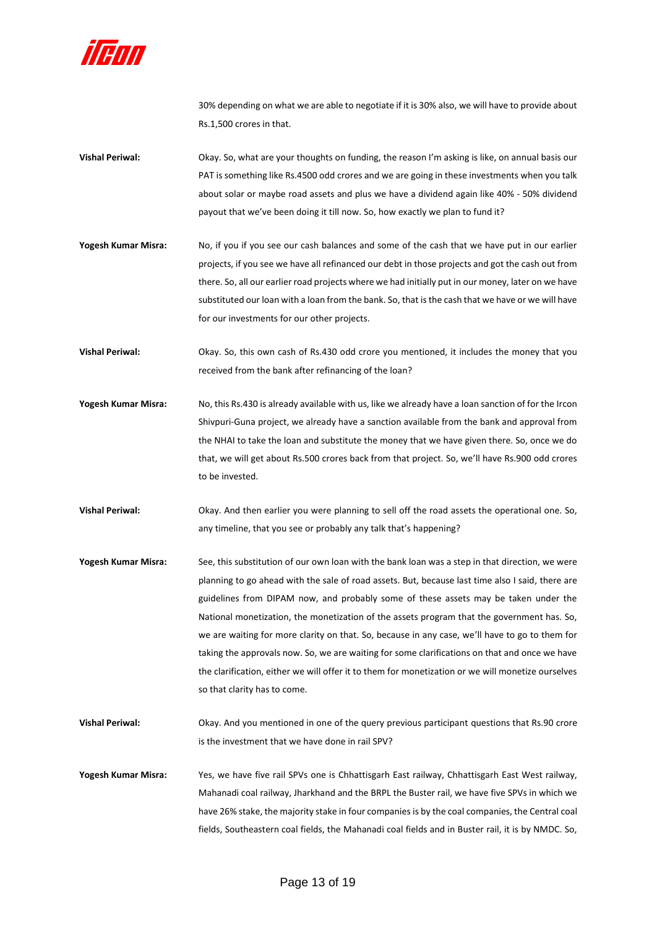

30% depending on what we are able to negotiate if it is 30% also, we will have to provide about Rs.1,500 crores in that.

- **Vishal Periwal:** Okay. So, what are your thoughts on funding, the reason I'm asking is like, on annual basis our PAT is something like Rs.4500 odd crores and we are going in these investments when you talk about solar or maybe road assets and plus we have a dividend again like 40% - 50% dividend payout that we've been doing it till now. So, how exactly we plan to fund it?
- **Yogesh Kumar Misra:** No, if you if you see our cash balances and some of the cash that we have put in our earlier projects, if you see we have all refinanced our debt in those projects and got the cash out from there. So, all our earlier road projects where we had initially put in our money, later on we have substituted our loan with a loan from the bank. So, that is the cash that we have or we will have for our investments for our other projects.
- **Vishal Periwal:** Okay. So, this own cash of Rs.430 odd crore you mentioned, it includes the money that you received from the bank after refinancing of the loan?
- **Yogesh Kumar Misra:** No, this Rs.430 is already available with us, like we already have a loan sanction of for the Ircon Shivpuri‐Guna project, we already have a sanction available from the bank and approval from the NHAI to take the loan and substitute the money that we have given there. So, once we do that, we will get about Rs.500 crores back from that project. So, we'll have Rs.900 odd crores to be invested.
- **Vishal Periwal:** Okay. And then earlier you were planning to sell off the road assets the operational one. So, any timeline, that you see or probably any talk that's happening?
- **Yogesh Kumar Misra:** See, this substitution of our own loan with the bank loan was a step in that direction, we were planning to go ahead with the sale of road assets. But, because last time also I said, there are guidelines from DIPAM now, and probably some of these assets may be taken under the National monetization, the monetization of the assets program that the government has. So, we are waiting for more clarity on that. So, because in any case, we'll have to go to them for taking the approvals now. So, we are waiting for some clarifications on that and once we have the clarification, either we will offer it to them for monetization or we will monetize ourselves so that clarity has to come.
- **Vishal Periwal:** Okay. And you mentioned in one of the query previous participant questions that Rs.90 crore is the investment that we have done in rail SPV?
- **Yogesh Kumar Misra:** Yes, we have five rail SPVs one is Chhattisgarh East railway, Chhattisgarh East West railway, Mahanadi coal railway, Jharkhand and the BRPL the Buster rail, we have five SPVs in which we have 26% stake, the majority stake in four companies is by the coal companies, the Central coal fields, Southeastern coal fields, the Mahanadi coal fields and in Buster rail, it is by NMDC. So,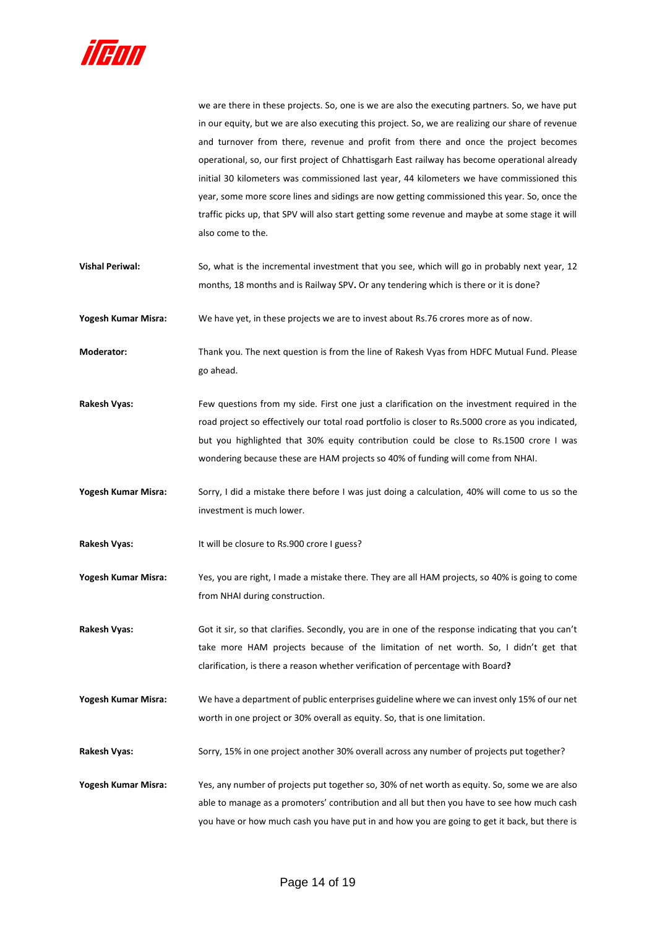

we are there in these projects. So, one is we are also the executing partners. So, we have put in our equity, but we are also executing this project. So, we are realizing our share of revenue and turnover from there, revenue and profit from there and once the project becomes operational, so, our first project of Chhattisgarh East railway has become operational already initial 30 kilometers was commissioned last year, 44 kilometers we have commissioned this year, some more score lines and sidings are now getting commissioned this year. So, once the traffic picks up, that SPV will also start getting some revenue and maybe at some stage it will also come to the.

**Vishal Periwal:** So, what is the incremental investment that you see, which will go in probably next year, 12 months, 18 months and is Railway SPV**.** Or any tendering which is there or it is done?

**Yogesh Kumar Misra:** We have yet, in these projects we are to invest about Rs.76 crores more as of now.

**Moderator:** Thank you. The next question is from the line of Rakesh Vyas from HDFC Mutual Fund. Please go ahead.

**Rakesh Vyas:** Few questions from my side. First one just a clarification on the investment required in the road project so effectively our total road portfolio is closer to Rs.5000 crore as you indicated, but you highlighted that 30% equity contribution could be close to Rs.1500 crore I was wondering because these are HAM projects so 40% of funding will come from NHAI.

**Yogesh Kumar Misra:** Sorry, I did a mistake there before I was just doing a calculation, 40% will come to us so the investment is much lower.

Rakesh Vyas: It will be closure to Rs.900 crore I guess?

**Yogesh Kumar Misra:** Yes, you are right, I made a mistake there. They are all HAM projects, so 40% is going to come from NHAI during construction.

**Rakesh Vyas:** Got it sir, so that clarifies. Secondly, you are in one of the response indicating that you can't take more HAM projects because of the limitation of net worth. So, I didn't get that clarification, is there a reason whether verification of percentage with Board**?**

**Yogesh Kumar Misra:** We have a department of public enterprises guideline where we can invest only 15% of our net worth in one project or 30% overall as equity. So, that is one limitation.

Rakesh Vyas: Sorry, 15% in one project another 30% overall across any number of projects put together?

**Yogesh Kumar Misra:** Yes, any number of projects put together so, 30% of net worth as equity. So, some we are also able to manage as a promoters' contribution and all but then you have to see how much cash you have or how much cash you have put in and how you are going to get it back, but there is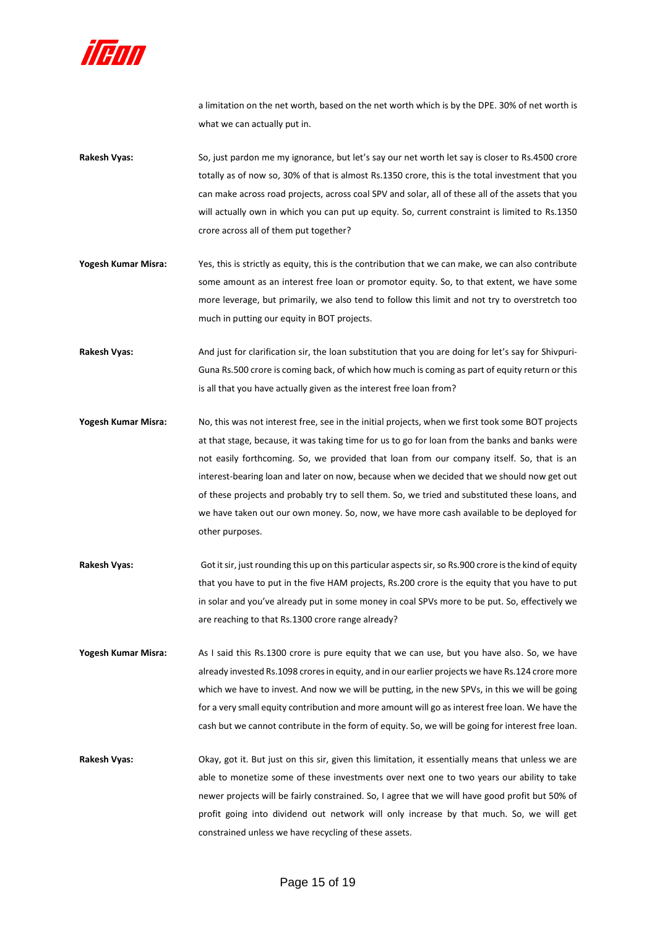

a limitation on the net worth, based on the net worth which is by the DPE. 30% of net worth is what we can actually put in.

- **Rakesh Vyas:** So, just pardon me my ignorance, but let's say our net worth let say is closer to Rs.4500 crore totally as of now so, 30% of that is almost Rs.1350 crore, this is the total investment that you can make across road projects, across coal SPV and solar, all of these all of the assets that you will actually own in which you can put up equity. So, current constraint is limited to Rs.1350 crore across all of them put together?
- **Yogesh Kumar Misra:** Yes, this is strictly as equity, this is the contribution that we can make, we can also contribute some amount as an interest free loan or promotor equity. So, to that extent, we have some more leverage, but primarily, we also tend to follow this limit and not try to overstretch too much in putting our equity in BOT projects.
- Rakesh Vyas: And just for clarification sir, the loan substitution that you are doing for let's say for Shivpuri-Guna Rs.500 crore is coming back, of which how much is coming as part of equity return or this is all that you have actually given as the interest free loan from?
- **Yogesh Kumar Misra:** No, this was not interest free, see in the initial projects, when we first took some BOT projects at that stage, because, it was taking time for us to go for loan from the banks and banks were not easily forthcoming. So, we provided that loan from our company itself. So, that is an interest-bearing loan and later on now, because when we decided that we should now get out of these projects and probably try to sell them. So, we tried and substituted these loans, and we have taken out our own money. So, now, we have more cash available to be deployed for other purposes.
- **Rakesh Vyas:** Got it sir, just rounding this up on this particular aspects sir, so Rs.900 crore is the kind of equity that you have to put in the five HAM projects, Rs.200 crore is the equity that you have to put in solar and you've already put in some money in coal SPVs more to be put. So, effectively we are reaching to that Rs.1300 crore range already?
- **Yogesh Kumar Misra:** As I said this Rs.1300 crore is pure equity that we can use, but you have also. So, we have already invested Rs.1098 crores in equity, and in our earlier projects we have Rs.124 crore more which we have to invest. And now we will be putting, in the new SPVs, in this we will be going for a very small equity contribution and more amount will go as interest free loan. We have the cash but we cannot contribute in the form of equity. So, we will be going for interest free loan.
- **Rakesh Vyas:** Okay, got it. But just on this sir, given this limitation, it essentially means that unless we are able to monetize some of these investments over next one to two years our ability to take newer projects will be fairly constrained. So, I agree that we will have good profit but 50% of profit going into dividend out network will only increase by that much. So, we will get constrained unless we have recycling of these assets.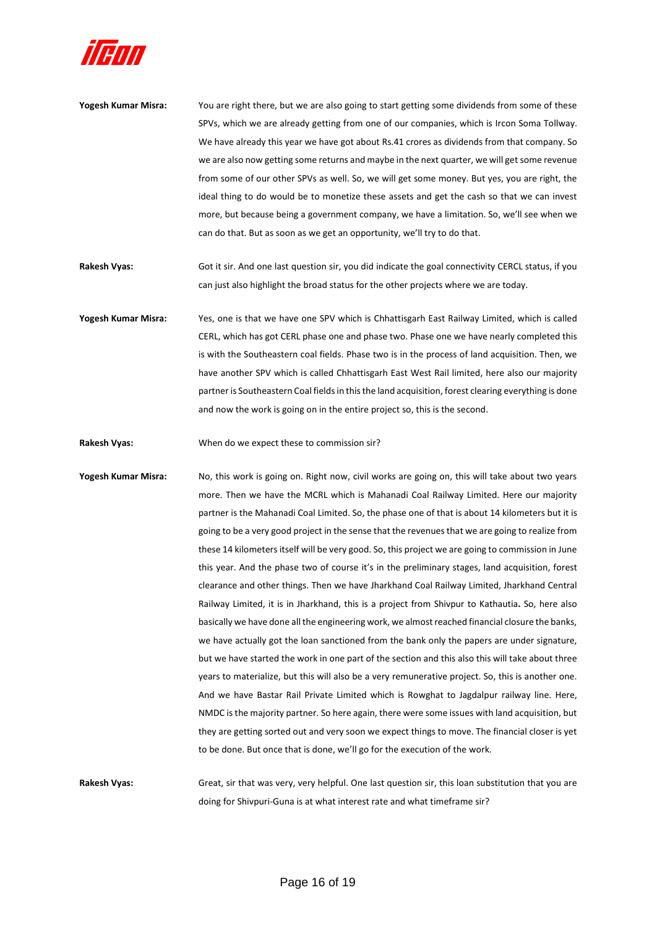

- **Yogesh Kumar Misra:** You are right there, but we are also going to start getting some dividends from some of these SPVs, which we are already getting from one of our companies, which is Ircon Soma Tollway. We have already this year we have got about Rs.41 crores as dividends from that company. So we are also now getting some returns and maybe in the next quarter, we will get some revenue from some of our other SPVs as well. So, we will get some money. But yes, you are right, the ideal thing to do would be to monetize these assets and get the cash so that we can invest more, but because being a government company, we have a limitation. So, we'll see when we can do that. But as soon as we get an opportunity, we'll try to do that.
- **Rakesh Vyas:** Got it sir. And one last question sir, you did indicate the goal connectivity CERCL status, if you can just also highlight the broad status for the other projects where we are today.
- **Yogesh Kumar Misra:** Yes, one is that we have one SPV which is Chhattisgarh East Railway Limited, which is called CERL, which has got CERL phase one and phase two. Phase one we have nearly completed this is with the Southeastern coal fields. Phase two is in the process of land acquisition. Then, we have another SPV which is called Chhattisgarh East West Rail limited, here also our majority partner is Southeastern Coal fields in this the land acquisition, forest clearing everything is done and now the work is going on in the entire project so, this is the second.
- **Rakesh Vyas:** When do we expect these to commission sir?
- **Yogesh Kumar Misra:** No, this work is going on. Right now, civil works are going on, this will take about two years more. Then we have the MCRL which is Mahanadi Coal Railway Limited. Here our majority partner is the Mahanadi Coal Limited. So, the phase one of that is about 14 kilometers but it is going to be a very good project in the sense that the revenues that we are going to realize from these 14 kilometers itself will be very good. So, this project we are going to commission in June this year. And the phase two of course it's in the preliminary stages, land acquisition, forest clearance and other things. Then we have Jharkhand Coal Railway Limited, Jharkhand Central Railway Limited, it is in Jharkhand, this is a project from Shivpur to Kathautia**.** So, here also basically we have done all the engineering work, we almost reached financial closure the banks, we have actually got the loan sanctioned from the bank only the papers are under signature, but we have started the work in one part of the section and this also this will take about three years to materialize, but this will also be a very remunerative project. So, this is another one. And we have Bastar Rail Private Limited which is Rowghat to Jagdalpur railway line. Here, NMDC is the majority partner. So here again, there were some issues with land acquisition, but they are getting sorted out and very soon we expect things to move. The financial closer is yet to be done. But once that is done, we'll go for the execution of the work.

**Rakesh Vyas:** Great, sir that was very, very helpful. One last question sir, this loan substitution that you are doing for Shivpuri-Guna is at what interest rate and what timeframe sir?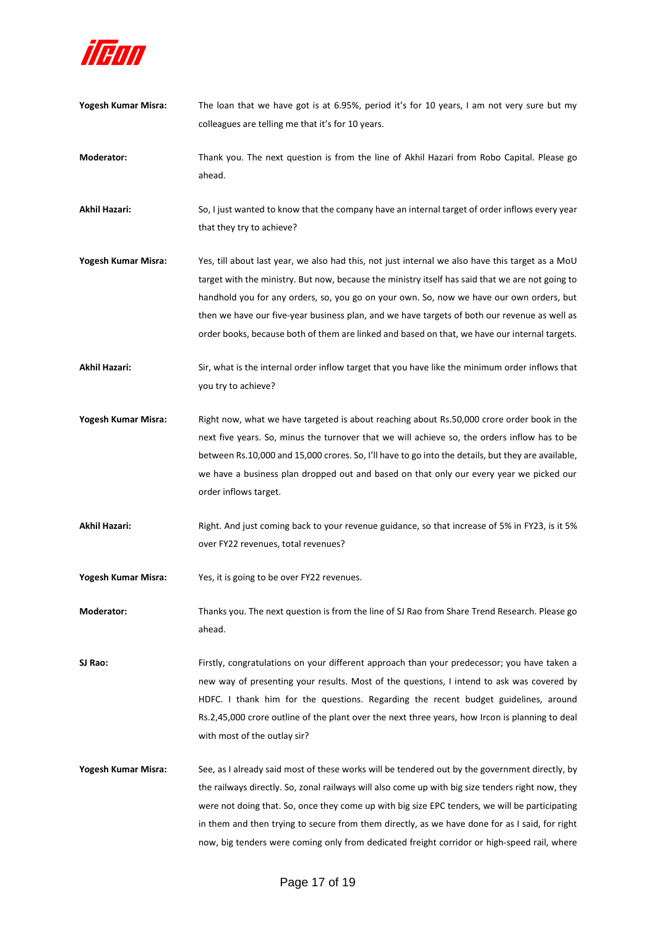

- **Yogesh Kumar Misra:** The loan that we have got is at 6.95%, period it's for 10 years, I am not very sure but my colleagues are telling me that it's for 10 years.
- **Moderator:** Thank you. The next question is from the line of Akhil Hazari from Robo Capital. Please go ahead.

**Akhil Hazari:** So, I just wanted to know that the company have an internal target of order inflows every year that they try to achieve?

- **Yogesh Kumar Misra:** Yes, till about last year, we also had this, not just internal we also have this target as a MoU target with the ministry. But now, because the ministry itself has said that we are not going to handhold you for any orders, so, you go on your own. So, now we have our own orders, but then we have our five-year business plan, and we have targets of both our revenue as well as order books, because both of them are linked and based on that, we have our internal targets.
- **Akhil Hazari:** Sir, what is the internal order inflow target that you have like the minimum order inflows that you try to achieve?
- **Yogesh Kumar Misra:** Right now, what we have targeted is about reaching about Rs.50,000 crore order book in the next five years. So, minus the turnover that we will achieve so, the orders inflow has to be between Rs.10,000 and 15,000 crores. So, I'll have to go into the details, but they are available, we have a business plan dropped out and based on that only our every year we picked our order inflows target.
- **Akhil Hazari:** Right. And just coming back to your revenue guidance, so that increase of 5% in FY23, is it 5% over FY22 revenues, total revenues?
- **Yogesh Kumar Misra:** Yes, it is going to be over FY22 revenues.

**Moderator:** Thanks you. The next question is from the line of SJ Rao from Share Trend Research. Please go ahead.

**SJ Rao:** Firstly, congratulations on your different approach than your predecessor; you have taken a new way of presenting your results. Most of the questions, I intend to ask was covered by HDFC. I thank him for the questions. Regarding the recent budget guidelines, around Rs.2,45,000 crore outline of the plant over the next three years, how Ircon is planning to deal with most of the outlay sir?

**Yogesh Kumar Misra:** See, as I already said most of these works will be tendered out by the government directly, by the railways directly. So, zonal railways will also come up with big size tenders right now, they were not doing that. So, once they come up with big size EPC tenders, we will be participating in them and then trying to secure from them directly, as we have done for as I said, for right now, big tenders were coming only from dedicated freight corridor or high-speed rail, where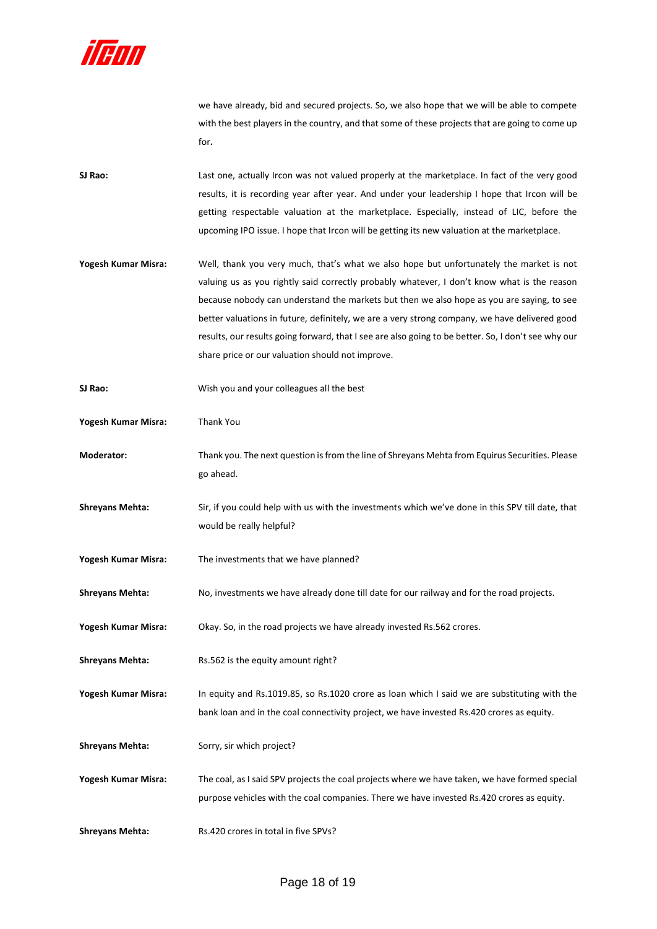

we have already, bid and secured projects. So, we also hope that we will be able to compete with the best players in the country, and that some of these projects that are going to come up for**.**

**SJ Rao:** Last one, actually Ircon was not valued properly at the marketplace. In fact of the very good results, it is recording year after year. And under your leadership I hope that Ircon will be getting respectable valuation at the marketplace. Especially, instead of LIC, before the upcoming IPO issue. I hope that Ircon will be getting its new valuation at the marketplace.

- **Yogesh Kumar Misra:** Well, thank you very much, that's what we also hope but unfortunately the market is not valuing us as you rightly said correctly probably whatever, I don't know what is the reason because nobody can understand the markets but then we also hope as you are saying, to see better valuations in future, definitely, we are a very strong company, we have delivered good results, our results going forward, that I see are also going to be better. So, I don't see why our share price or our valuation should not improve.
- **SJ Rao:** Wish you and your colleagues all the best
- **Yogesh Kumar Misra:** Thank You
- **Moderator:** Thank you. The next question is from the line of Shreyans Mehta from Equirus Securities. Please go ahead.
- **Shreyans Mehta:** Sir, if you could help with us with the investments which we've done in this SPV till date, that would be really helpful?
- **Yogesh Kumar Misra:** The investments that we have planned?
- **Shreyans Mehta:** No, investments we have already done till date for our railway and for the road projects.
- **Yogesh Kumar Misra:** Okay. So, in the road projects we have already invested Rs.562 crores.
- **Shreyans Mehta:** Rs.562 is the equity amount right?

**Yogesh Kumar Misra:** In equity and Rs.1019.85, so Rs.1020 crore as loan which I said we are substituting with the bank loan and in the coal connectivity project, we have invested Rs.420 crores as equity.

- **Shreyans Mehta:** Sorry, sir which project?
- **Yogesh Kumar Misra:** The coal, as I said SPV projects the coal projects where we have taken, we have formed special purpose vehicles with the coal companies. There we have invested Rs.420 crores as equity.
- **Shreyans Mehta:** Rs.420 crores in total in five SPVs?